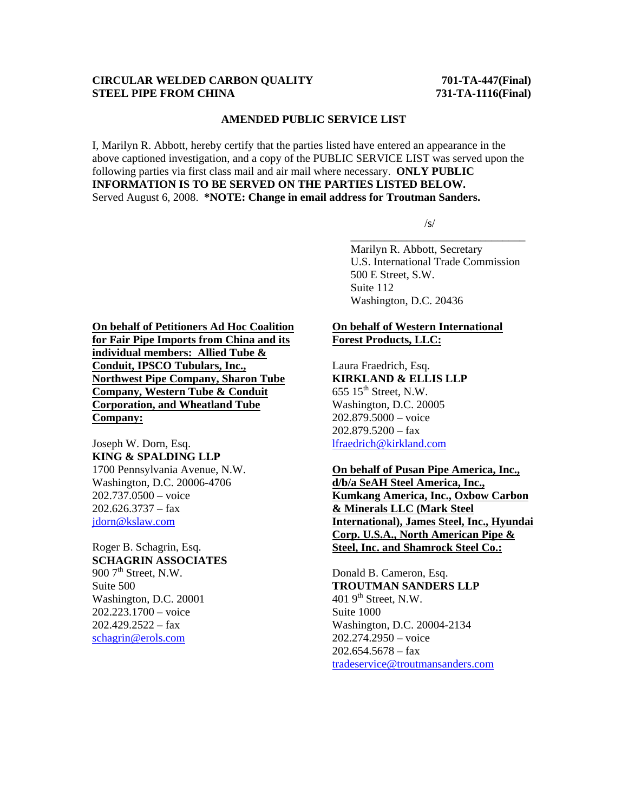#### **CIRCULAR WELDED CARBON QUALITY 701-TA-447(Final) STEEL PIPE FROM CHINA 731-TA-1116(Final)**

#### **AMENDED PUBLIC SERVICE LIST**

I, Marilyn R. Abbott, hereby certify that the parties listed have entered an appearance in the above captioned investigation, and a copy of the PUBLIC SERVICE LIST was served upon the following parties via first class mail and air mail where necessary. **ONLY PUBLIC INFORMATION IS TO BE SERVED ON THE PARTIES LISTED BELOW.**  Served August 6, 2008. **\*NOTE: Change in email address for Troutman Sanders.**

 $\overline{\phantom{a}}$  , which is a set of the set of the set of the set of the set of the set of the set of the set of the set of the set of the set of the set of the set of the set of the set of the set of the set of the set of th

 $\sqrt{s/2}$ 

 Marilyn R. Abbott, Secretary U.S. International Trade Commission 500 E Street, S.W. Suite 112 Washington, D.C. 20436

**On behalf of Petitioners Ad Hoc Coalition for Fair Pipe Imports from China and its individual members: Allied Tube & Conduit, IPSCO Tubulars, Inc., Northwest Pipe Company, Sharon Tube Company, Western Tube & Conduit Corporation, and Wheatland Tube Company:**

Joseph W. Dorn, Esq. **KING & SPALDING LLP** 1700 Pennsylvania Avenue, N.W. Washington, D.C. 20006-4706 202.737.0500 – voice  $202.626.3737 - fax$ jdorn@kslaw.com

Roger B. Schagrin, Esq. **SCHAGRIN ASSOCIATES** 900  $7<sup>th</sup>$  Street, N.W. Suite 500 Washington, D.C. 20001 202.223.1700 – voice  $202.429.2522 - fax$ schagrin@erols.com

#### **On behalf of Western International Forest Products, LLC:**

Laura Fraedrich, Esq. **KIRKLAND & ELLIS LLP**  $655$   $15^{\text{th}}$  Street, N.W. Washington, D.C. 20005 202.879.5000 – voice 202.879.5200 – fax lfraedrich@kirkland.com

**On behalf of Pusan Pipe America, Inc., d/b/a SeAH Steel America, Inc., Kumkang America, Inc., Oxbow Carbon & Minerals LLC (Mark Steel International), James Steel, Inc., Hyundai Corp. U.S.A., North American Pipe & Steel, Inc. and Shamrock Steel Co.:**

Donald B. Cameron, Esq. **TROUTMAN SANDERS LLP** 401  $9<sup>th</sup>$  Street, N.W. Suite 1000 Washington, D.C. 20004-2134 202.274.2950 – voice  $202.654.5678 - fax$ tradeservice@troutmansanders.com